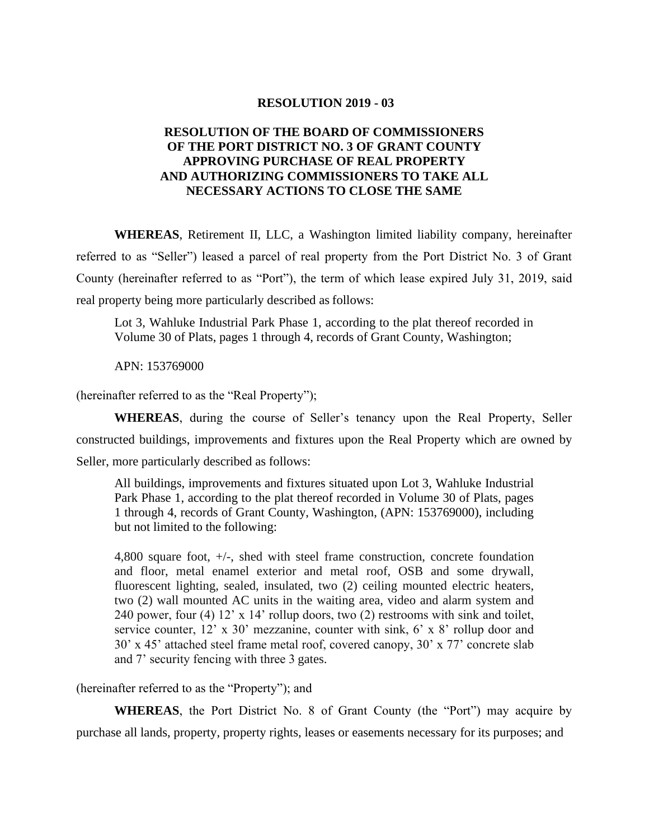## **RESOLUTION 2019 - 03**

## **RESOLUTION OF THE BOARD OF COMMISSIONERS OF THE PORT DISTRICT NO. 3 OF GRANT COUNTY APPROVING PURCHASE OF REAL PROPERTY AND AUTHORIZING COMMISSIONERS TO TAKE ALL NECESSARY ACTIONS TO CLOSE THE SAME**

**WHEREAS**, Retirement II, LLC, a Washington limited liability company, hereinafter referred to as "Seller") leased a parcel of real property from the Port District No. 3 of Grant County (hereinafter referred to as "Port"), the term of which lease expired July 31, 2019, said real property being more particularly described as follows:

Lot 3, Wahluke Industrial Park Phase 1, according to the plat thereof recorded in Volume 30 of Plats, pages 1 through 4, records of Grant County, Washington;

APN: 153769000

(hereinafter referred to as the "Real Property");

**WHEREAS**, during the course of Seller's tenancy upon the Real Property, Seller constructed buildings, improvements and fixtures upon the Real Property which are owned by Seller, more particularly described as follows:

All buildings, improvements and fixtures situated upon Lot 3, Wahluke Industrial Park Phase 1, according to the plat thereof recorded in Volume 30 of Plats, pages 1 through 4, records of Grant County, Washington, (APN: 153769000), including but not limited to the following:

4,800 square foot, +/-, shed with steel frame construction, concrete foundation and floor, metal enamel exterior and metal roof, OSB and some drywall, fluorescent lighting, sealed, insulated, two (2) ceiling mounted electric heaters, two (2) wall mounted AC units in the waiting area, video and alarm system and 240 power, four (4) 12' x 14' rollup doors, two (2) restrooms with sink and toilet, service counter, 12' x 30' mezzanine, counter with sink, 6' x 8' rollup door and 30' x 45' attached steel frame metal roof, covered canopy, 30' x 77' concrete slab and 7' security fencing with three 3 gates.

(hereinafter referred to as the "Property"); and

**WHEREAS**, the Port District No. 8 of Grant County (the "Port") may acquire by purchase all lands, property, property rights, leases or easements necessary for its purposes; and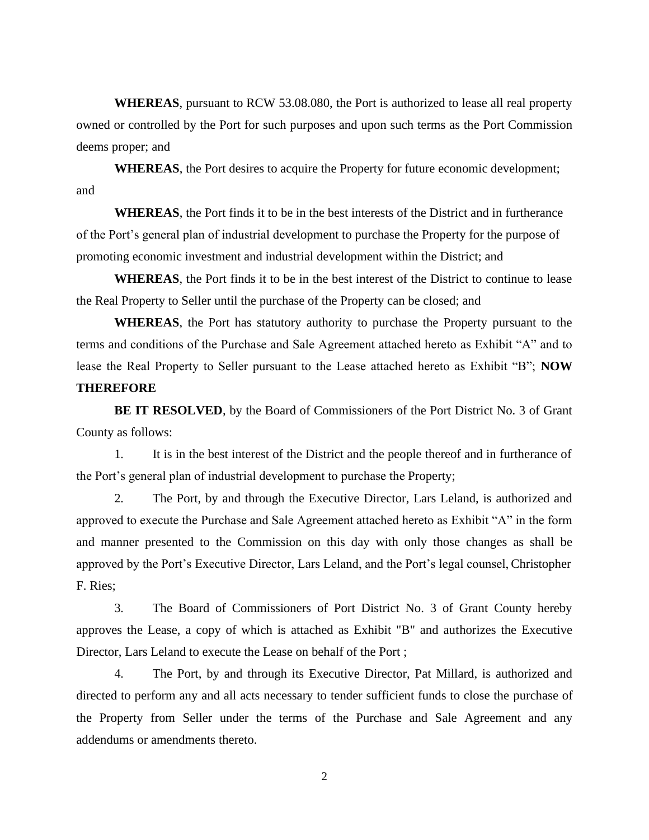**WHEREAS**, pursuant to RCW 53.08.080, the Port is authorized to lease all real property owned or controlled by the Port for such purposes and upon such terms as the Port Commission deems proper; and

**WHEREAS**, the Port desires to acquire the Property for future economic development; and

**WHEREAS**, the Port finds it to be in the best interests of the District and in furtherance of the Port's general plan of industrial development to purchase the Property for the purpose of promoting economic investment and industrial development within the District; and

**WHEREAS**, the Port finds it to be in the best interest of the District to continue to lease the Real Property to Seller until the purchase of the Property can be closed; and

**WHEREAS**, the Port has statutory authority to purchase the Property pursuant to the terms and conditions of the Purchase and Sale Agreement attached hereto as Exhibit "A" and to lease the Real Property to Seller pursuant to the Lease attached hereto as Exhibit "B"; **NOW THEREFORE**

**BE IT RESOLVED**, by the Board of Commissioners of the Port District No. 3 of Grant County as follows:

1. It is in the best interest of the District and the people thereof and in furtherance of the Port's general plan of industrial development to purchase the Property;

2. The Port, by and through the Executive Director, Lars Leland, is authorized and approved to execute the Purchase and Sale Agreement attached hereto as Exhibit "A" in the form and manner presented to the Commission on this day with only those changes as shall be approved by the Port's Executive Director, Lars Leland, and the Port's legal counsel, Christopher F. Ries;

3. The Board of Commissioners of Port District No. 3 of Grant County hereby approves the Lease, a copy of which is attached as Exhibit "B" and authorizes the Executive Director, Lars Leland to execute the Lease on behalf of the Port ;

4. The Port, by and through its Executive Director, Pat Millard, is authorized and directed to perform any and all acts necessary to tender sufficient funds to close the purchase of the Property from Seller under the terms of the Purchase and Sale Agreement and any addendums or amendments thereto.

2